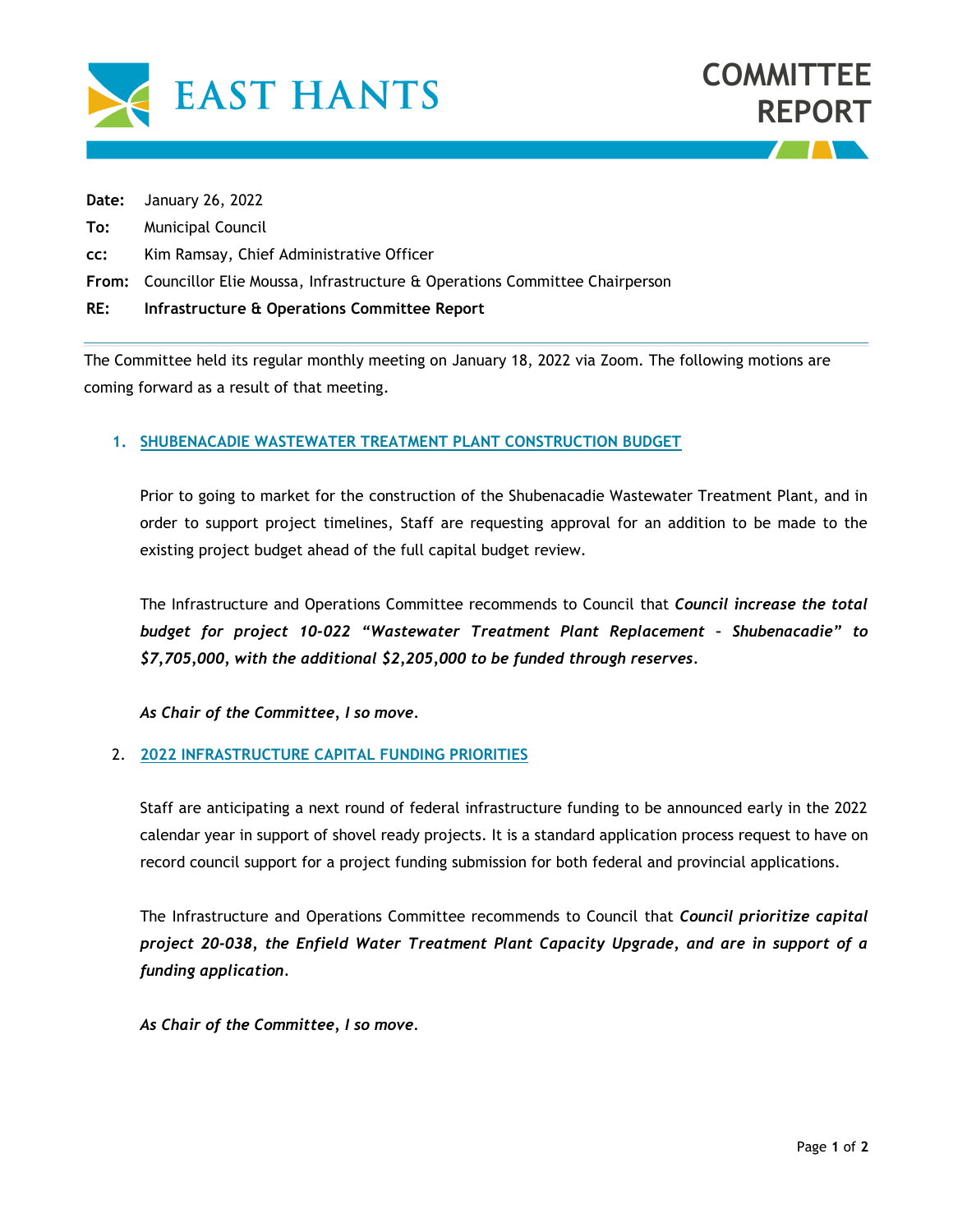



**Date:** January 26, 2022

- **To:** Municipal Council
- **cc:** Kim Ramsay, Chief Administrative Officer
- **From:** Councillor Elie Moussa, Infrastructure & Operations Committee Chairperson
- **RE: Infrastructure & Operations Committee Report**

The Committee held its regular monthly meeting on January 18, 2022 via Zoom. The following motions are coming forward as a result of that meeting.

## **1. SHUBENACADIE WASTEWATER TREATMENT PLANT CONSTRUCTION BUDGET**

Prior to going to market for the construction of the Shubenacadie Wastewater Treatment Plant, and in order to support project timelines, Staff are requesting approval for an addition to be made to the existing project budget ahead of the full capital budget review.

The Infrastructure and Operations Committee recommends to Council that *Council increase the total budget for project 10-022 "Wastewater Treatment Plant Replacement – Shubenacadie" to \$7,705,000, with the additional \$2,205,000 to be funded through reserves.*

*As Chair of the Committee, I so move.*

## 2. **2022 INFRASTRUCTURE CAPITAL FUNDING PRIORITIES**

Staff are anticipating a next round of federal infrastructure funding to be announced early in the 2022 calendar year in support of shovel ready projects. It is a standard application process request to have on record council support for a project funding submission for both federal and provincial applications.

The Infrastructure and Operations Committee recommends to Council that *Council prioritize capital project 20-038, the Enfield Water Treatment Plant Capacity Upgrade, and are in support of a funding application.*

*As Chair of the Committee, I so move.*